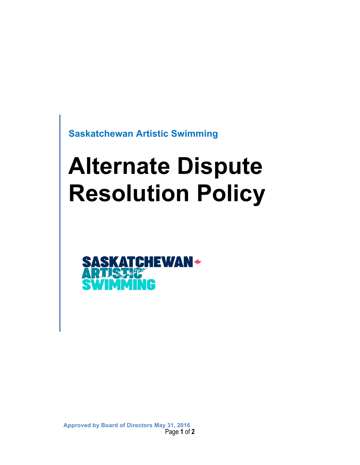**Saskatchewan Artistic Swimming**

# **Alternate Dispute Resolution Policy**



Page **1** of **2 Approved by Board of Directors May 31, 2016**